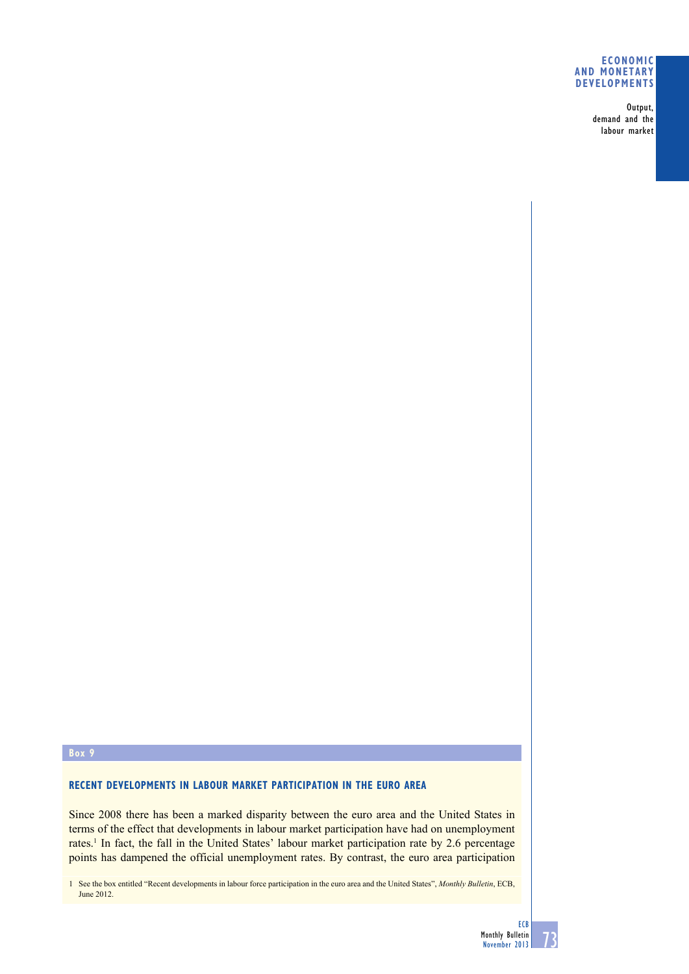#### **eConomiC and monetary develoPments**

 Output, demand and the labour market

#### **box 9**

## **reCent develoPments in labour marKet PartiCiPation in the euro area**

Since 2008 there has been a marked disparity between the euro area and the United States in terms of the effect that developments in labour market participation have had on unemployment rates.<sup>1</sup> In fact, the fall in the United States' labour market participation rate by 2.6 percentage points has dampened the official unemployment rates. By contrast, the euro area participation

1 See the box entitled "Recent developments in labour force participation in the euro area and the United States", *Monthly Bulletin*, ECB, June 2012.

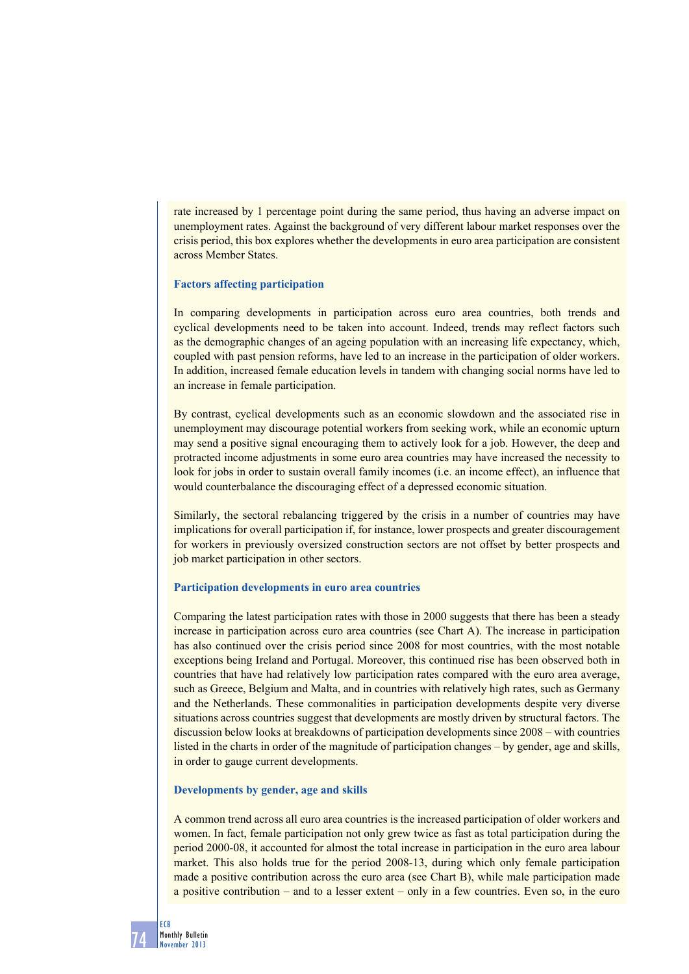rate increased by 1 percentage point during the same period, thus having an adverse impact on unemployment rates. Against the background of very different labour market responses over the crisis period, this box explores whether the developments in euro area participation are consistent across Member States.

### **Factors affecting participation**

In comparing developments in participation across euro area countries, both trends and cyclical developments need to be taken into account. Indeed, trends may reflect factors such as the demographic changes of an ageing population with an increasing life expectancy, which, coupled with past pension reforms, have led to an increase in the participation of older workers. In addition, increased female education levels in tandem with changing social norms have led to an increase in female participation.

By contrast, cyclical developments such as an economic slowdown and the associated rise in unemployment may discourage potential workers from seeking work, while an economic upturn may send a positive signal encouraging them to actively look for a job. However, the deep and protracted income adjustments in some euro area countries may have increased the necessity to look for jobs in order to sustain overall family incomes (i.e. an income effect), an influence that would counterbalance the discouraging effect of a depressed economic situation.

Similarly, the sectoral rebalancing triggered by the crisis in a number of countries may have implications for overall participation if, for instance, lower prospects and greater discouragement for workers in previously oversized construction sectors are not offset by better prospects and job market participation in other sectors.

#### **Participation developments in euro area countries**

Comparing the latest participation rates with those in 2000 suggests that there has been a steady increase in participation across euro area countries (see Chart A). The increase in participation has also continued over the crisis period since 2008 for most countries, with the most notable exceptions being Ireland and Portugal. Moreover, this continued rise has been observed both in countries that have had relatively low participation rates compared with the euro area average, such as Greece, Belgium and Malta, and in countries with relatively high rates, such as Germany and the Netherlands. These commonalities in participation developments despite very diverse situations across countries suggest that developments are mostly driven by structural factors. The discussion below looks at breakdowns of participation developments since 2008 – with countries listed in the charts in order of the magnitude of participation changes – by gender, age and skills, in order to gauge current developments.

### **Developments by gender, age and skills**

A common trend across all euro area countries is the increased participation of older workers and women. In fact, female participation not only grew twice as fast as total participation during the period 2000-08, it accounted for almost the total increase in participation in the euro area labour market. This also holds true for the period 2008-13, during which only female participation made a positive contribution across the euro area (see Chart B), while male participation made a positive contribution – and to a lesser extent – only in a few countries. Even so, in the euro

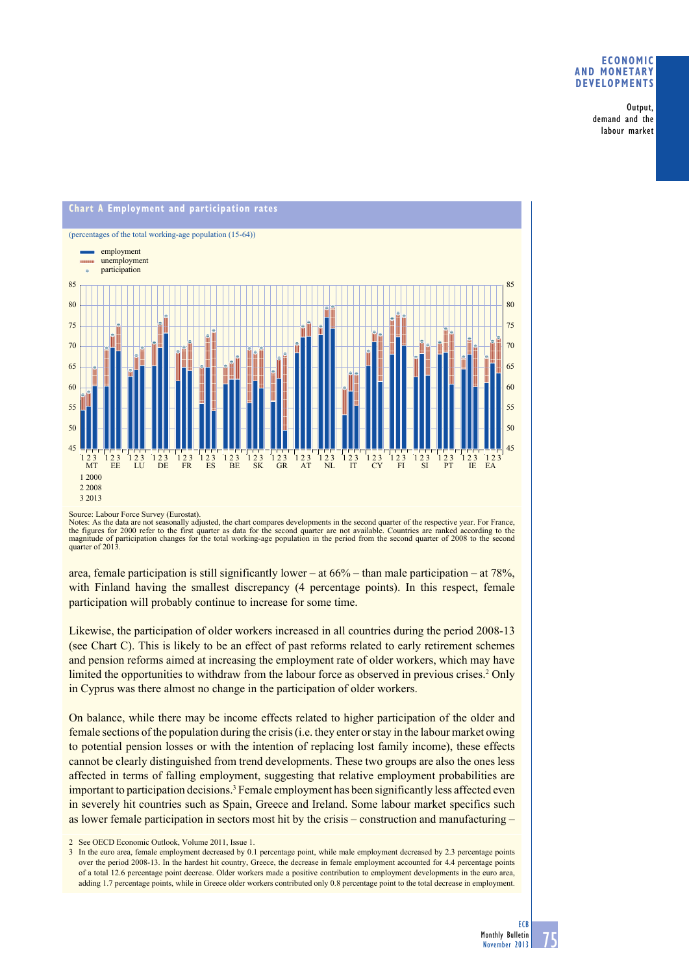### **eConomiC and monetary develoPments**

 Output, demand and the labour market



Source: Labour Force Survey (Eurostat).

Notes: As the data are not seasonally adjusted, the chart compares developments in the second quarter of the respective year. For France, the figures for 2000 refer to the first quarter as data for the second quarter are not available. Countries are ranked according to the magnitude of participation changes for the total working-age population in the period quarter of 2013.

area, female participation is still significantly lower – at  $66\%$  – than male participation – at  $78\%$ , with Finland having the smallest discrepancy (4 percentage points). In this respect, female participation will probably continue to increase for some time.

Likewise, the participation of older workers increased in all countries during the period 2008-13 (see Chart C). This is likely to be an effect of past reforms related to early retirement schemes and pension reforms aimed at increasing the employment rate of older workers, which may have limited the opportunities to withdraw from the labour force as observed in previous crises.<sup>2</sup> Only in Cyprus was there almost no change in the participation of older workers.

On balance, while there may be income effects related to higher participation of the older and female sections of the population during the crisis (i.e. they enter or stay in the labour market owing to potential pension losses or with the intention of replacing lost family income), these effects cannot be clearly distinguished from trend developments. These two groups are also the ones less affected in terms of falling employment, suggesting that relative employment probabilities are important to participation decisions.<sup>3</sup> Female employment has been significantly less affected even in severely hit countries such as Spain, Greece and Ireland. Some labour market specifics such as lower female participation in sectors most hit by the crisis – construction and manufacturing –

2. See OECD Economic Outlook, Volume 2011, Issue 1.

<sup>3</sup> In the euro area, female employment decreased by 0.1 percentage point, while male employment decreased by 2.3 percentage points over the period 2008-13. In the hardest hit country, Greece, the decrease in female employment accounted for 4.4 percentage points of a total 12.6 percentage point decrease. Older workers made a positive contribution to employment developments in the euro area, adding 1.7 percentage points, while in Greece older workers contributed only 0.8 percentage point to the total decrease in employment.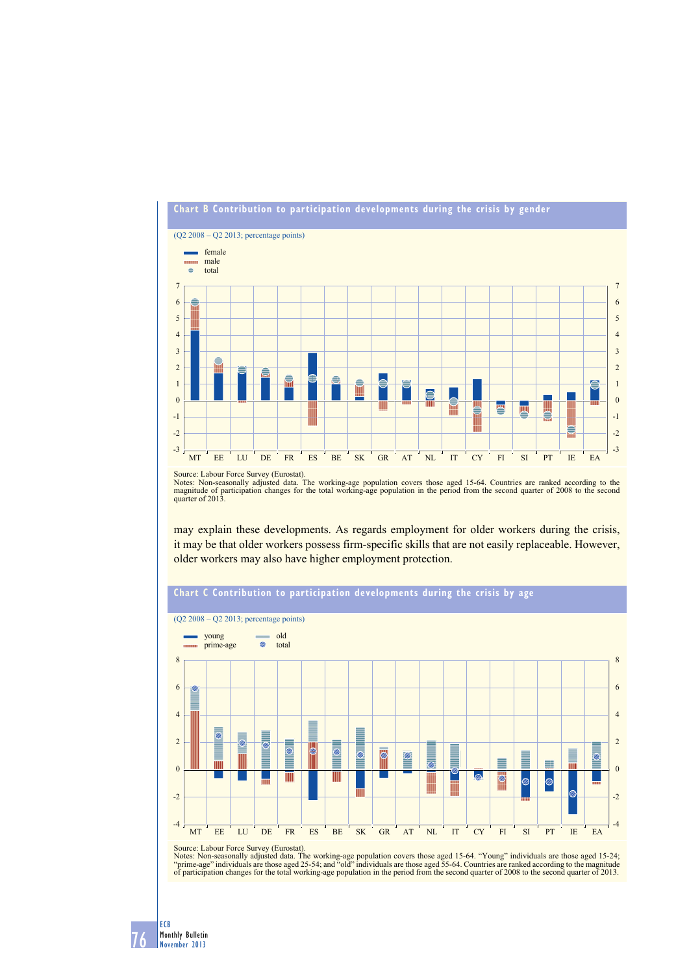

Source: Labour Force Survey (Eurostat).<br>Notes: Non-seasonally adjusted data. The working-age population covers those aged 15-64. Countries are ranked according to the<br>magnitude of participation changes for the total workin

may explain these developments. As regards employment for older workers during the crisis, it may be that older workers possess firm-specific skills that are not easily replaceable. However, older workers may also have higher employment protection.



# **Chart C Contribution to participation developments during the crisis by age**

Source: Labour Force Survey (Eurostat).

Notes: Non-seasonally adjusted data. The working-age population covers those aged 15-64. "Young" individuals are those aged 15-24;<br>"prime-age" individuals are those aged 25-54; and "old" individuals are those aged 55-64. C

76 ECB Monthly Bulletin November 2013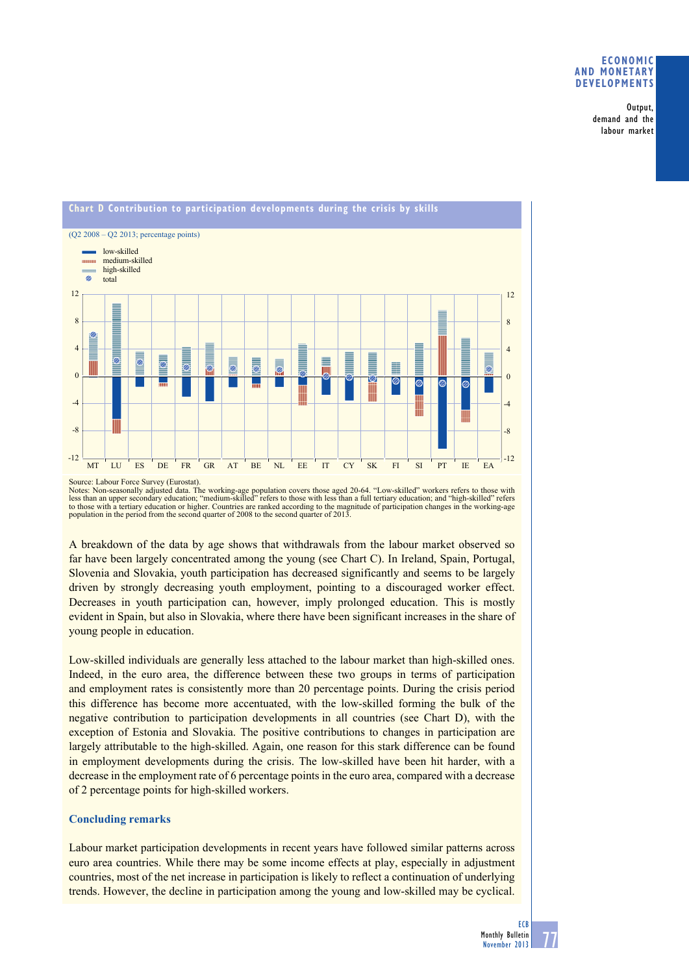### **eConomiC and monetary develoPments**

 Output, demand and the labour market



Source: Labour Force Survey (Eurostat).<br>Notes: Non-seasonally adjusted data. The working-age population covers those aged 20-64. "Low-skilled" workers refers to those with less than an upper secondary education; "medium-skilled" refers to those with less than a full tertiary education; and "high-skilled" refers<br>to those with a tertiary education or higher. Countries are ranked according to t population in the period from the second quarter of 2008 to the second quarter of 2013.

A breakdown of the data by age shows that withdrawals from the labour market observed so far have been largely concentrated among the young (see Chart C). In Ireland, Spain, Portugal, Slovenia and Slovakia, youth participation has decreased significantly and seems to be largely driven by strongly decreasing youth employment, pointing to a discouraged worker effect. Decreases in youth participation can, however, imply prolonged education. This is mostly evident in Spain, but also in Slovakia, where there have been significant increases in the share of young people in education.

Low-skilled individuals are generally less attached to the labour market than high-skilled ones. Indeed, in the euro area, the difference between these two groups in terms of participation and employment rates is consistently more than 20 percentage points. During the crisis period this difference has become more accentuated, with the low-skilled forming the bulk of the negative contribution to participation developments in all countries (see Chart D), with the exception of Estonia and Slovakia. The positive contributions to changes in participation are largely attributable to the high-skilled. Again, one reason for this stark difference can be found in employment developments during the crisis. The low-skilled have been hit harder, with a decrease in the employment rate of 6 percentage points in the euro area, compared with a decrease of 2 percentage points for high-skilled workers.

# **Concluding remarks**

Labour market participation developments in recent years have followed similar patterns across euro area countries. While there may be some income effects at play, especially in adjustment countries, most of the net increase in participation is likely to reflect a continuation of underlying trends. However, the decline in participation among the young and low-skilled may be cyclical.